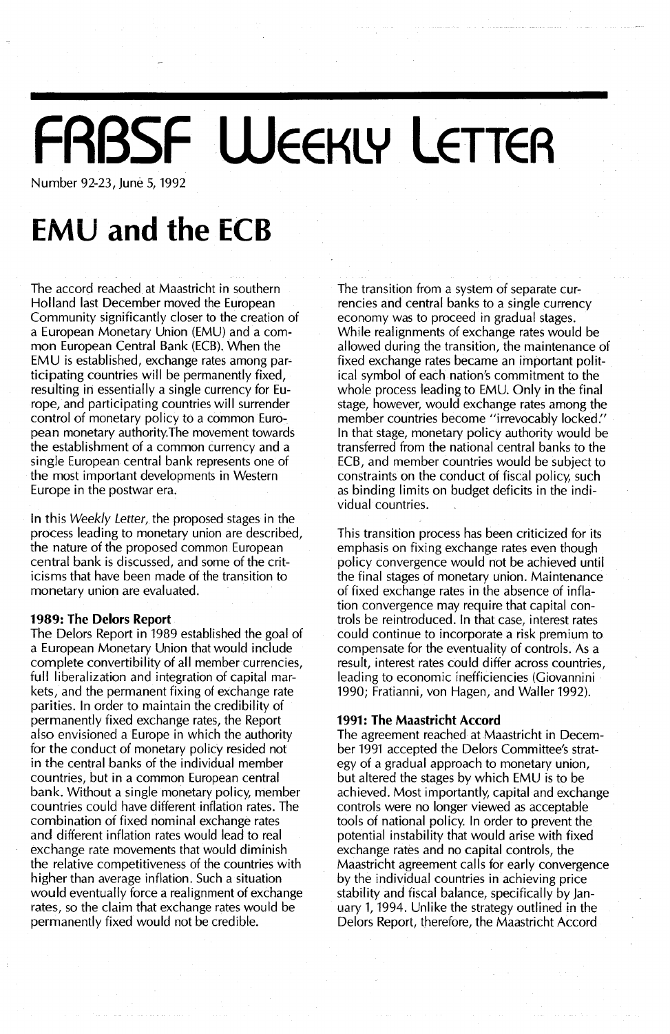## **FABSF WEEKLY LETTER**

Number 92-23, June 5, 1992

## **EMU and the ECB**

The accord reached at Maastricht in southern Holland last December moved the European Community significantly closer to the creation of a European Monetary Union (EMU) and a common European Central Bank (ECB). When the EMU is established, exchange rates among participating countries will be permanently fixed, resulting in essentially a single currency for Europe, and participating countries will surrender control of monetary policy to a common European monetary authority.The movement towards the establishment of a common currency and a single European central bank represents one of the most important developments in Western Europe in the postwar era.

In this *Weekly Letter,* the proposed stages in the process leading to monetary union are described, the nature of the proposed common European central bank is discussed, and some of the criticisms that have been made of the transition to monetary union are evaluated.

### **1989: The Delors Report**

The Delors Report in 1989 established the goal of a European Monetary Union that would include complete convertibility of all member currencies, full liberalization and integration of capital markets, and the permanent fixing of exchange rate parities. In order to maintain the credibility of permanently fixed exchange rates, the Report also envisioned a Europe in which the authority for the conduct of monetary policy resided not in the central banks of the individual member countries, but in a common European central bank. Without a single monetary policy, member countries could have different inflation rates. The combination of fixed nominal exchange rates and different inflation rates would lead to real exchange rate movements that would diminish the relative competitiveness of the countries with higher than average inflation. Such a situation would eventually force a realignment of exchange rates, so the claim that exchange rates would be permanently fixed would not be credible.

The transition from a system of separate currencies and central banks to a single currency economy was to proceed in gradual stages. While realignments of exchange rates would be allowed during the transition, the maintenance of fixed exchange rates became an important political symbol of each nation's commitment to the whole process leading to EMU. Only in the final stage, however, would exchange rates among the member countries become "irrevocably locked." In that stage, monetary policy authority would be transferred from the national central banks to the ECB, and member countries would be subject to constraints on the conduct of fiscal policy, such as binding limits on budget deficits in the individual countries.

This transition process has been criticized for its emphasis on fixing exchange rates even though policy convergence would not be achieved until the final stages of monetary union. Maintenance of fixed exchange rates in the absence of inflation convergence may require that capital controls be reintroduced. In that case, interest rates could continue to incorporate a risk premium to compensate for the eventuality of controls. As a result, interest rates could differ across countries, leading to economic inefficiencies (Giovannini 1990; Fratianni, von Hagen, and Waller 1992).

### **1991: The Maastricht Accord**

The agreement reached at Maastricht in December 1991 accepted the Delors Committee's strategy of a gradual approach to monetary union, but altered the stages by which EMU is to be achieved. Most importantly, capital and exchange controls were no longer viewed as acceptable tools of national policy. In order to prevent the potential instability that would arise with fixed exchange rates and no capital controls, the Maastricht agreement calls for early convergence by the individual countries in achieving price stability and fiscal balance, specifically by January 1, 1994. Unlike the strategy outlined in the Delors Report, therefore, the Maastricht Accord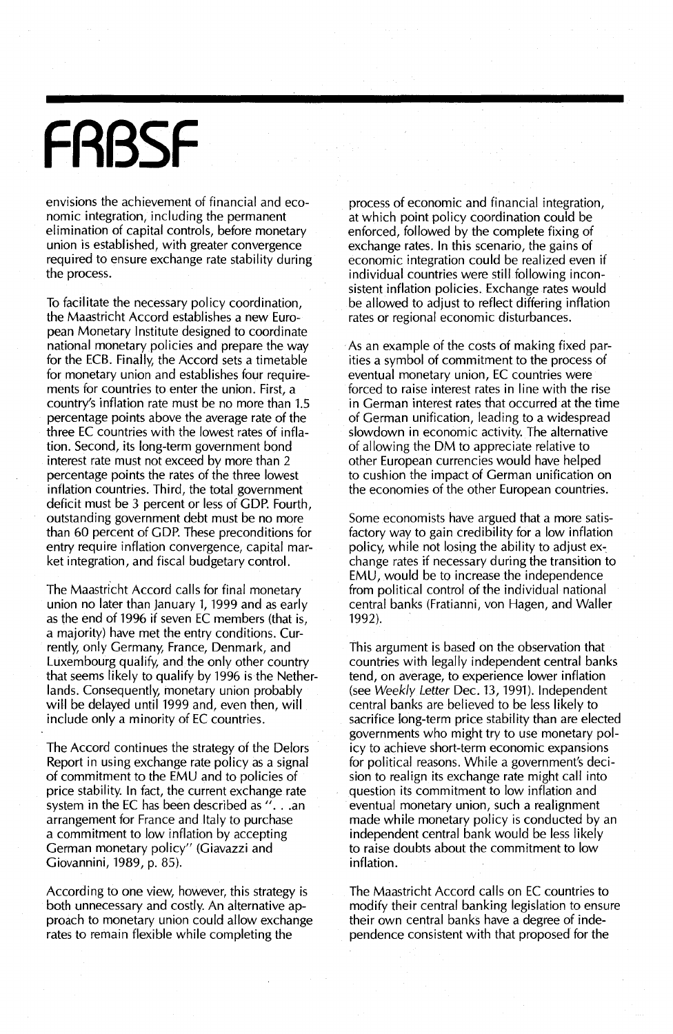# **FABSF**

envisions the achievement of financial and economic integration, including the permanent elimination of capital controls, before monetary union is established, with greater convergence required to ensure exchange rate stability during the process.

To facilitate the necessary policy coordination, the Maastricht Accord establishes a new European Monetary Institute designed to coordinate national monetary policies and prepare the way for the ECB. Finally, the Accord sets a timetable for monetary union and establishes four requirements for countries to enter the union. First, a country's inflation rate must be no more than 1.5 percentage points *above* the *average* rate of the three EC countries with the lowest rates of inflation. Second, its long-term government bond interest rate must not exceed by more than 2 percentage points the rates of the three lowest inflation countries. Third, the total government deficit must be 3 percent or less of GOP. Fourth, outstanding government debt must be no more than 60 percent of GOP. These preconditions for entry require inflation convergence, capital market integration, and fiscal budgetary control.

The Maastricht Accord calls for final monetary union no later than January 1, 1999 and as early as the end of 1996 if seven EC members (that is, a majority) *have* met the entry conditions. Currently, only Germany, France, Denmark, and Luxembourg qualify, and the only other country that seems likely to qualify by 1996 is the Netherlands. Consequently, monetary union probably will be delayed until 1999 and, *even* then, will include only a minority of EC countries.

The Accord continues the strategy of the Delors Report in using exchange rate policy as a signal of commitment to the EMU and to policies of price stability. In fact, the current exchange rate system in the EC has been described as ". . .an arrangement for France and Italy to purchase a commitment to low inflation by accepting German monetary policy" (Giavazzi and Giovannini, 1989, p. 85).

According to one *view, however,* this strategy is both unnecessary and costly. An alternative approach to monetary union could allow exchange rates to remain flexible while completing the

process of economic and financial integration, at which point policy coordination could be enforced, followed by the complete fixing of exchange rates. In this scenario, the gains of economic integration could be realized *even* if individual countries were still following inconsistent inflation policies. Exchange rates would be allowed to adjust to reflect differing inflation rates or regional economic disturbances.

As an example of the costs of making fixed parities a symbol of commitment to the process of eventual monetary union, EC countries were forced to raise interest rates in line with the rise in German interest rates that occurred at the time of German unification, leading to a widespread slowdown in economic activity. The alternative of allowing the OM to appreciate relative to other European currencies would have helped to cushion the impact of German unification on the economies of the other European countries.

Some economists *have* argued that a more satisfactory way to gain credibility for a low inflation policy, while not losing the ability to adjust exchange rates if necessary during the transition to EMU, would be to increase the independence from political control of the individual national central banks (Fratianni, *von* Hagen, and Waller 1992).

This argument is based on the observation that countries with legally independent central banks tend, on *average,* to experience lower inflation (see Weekly Letter Dec. 13, 1991). Independent central banks are believed to be less likely to sacrifice long-term price stability than are elected governments who might try to use monetary policy to achieve short-term economic expansions for political reasons. While a government's decision to realign its exchange rate might call into question its commitment to low inflation and eventual monetary union, such a realignment made while monetary policy is conducted by an independent central bank would be less likely to raise doubts about the commitment to low inflation.

The Maastricht Accord calls on EC countries to modify their centra! banking legislation to ensure their own central banks *have* a degree of independence consistent with that proposed for the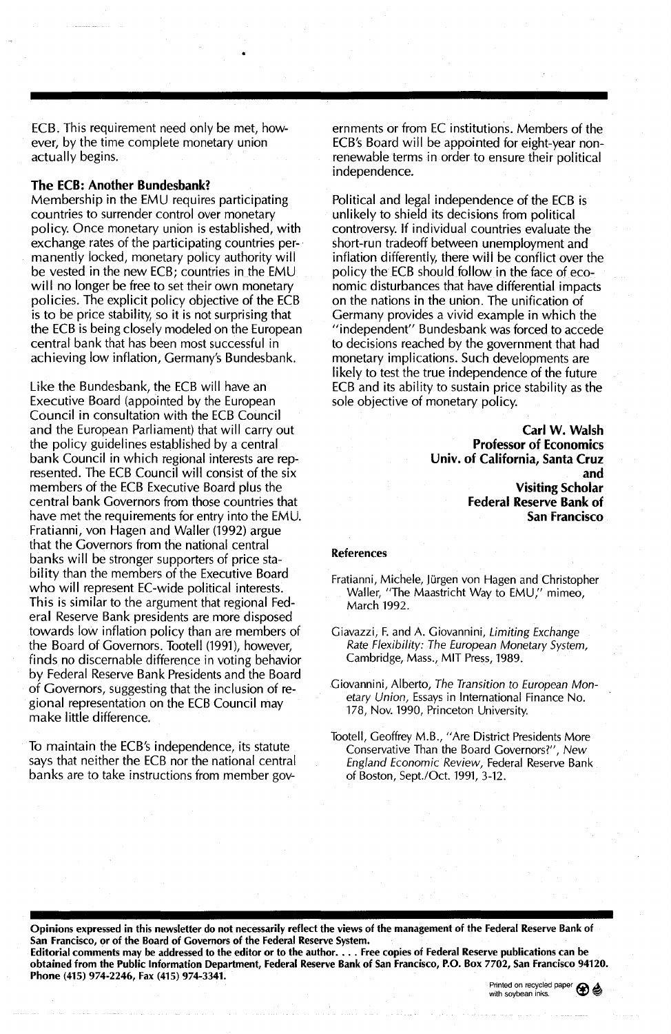ECB. This requirement need only be met, however, by the time complete monetary union actually begins.

#### The ECB: Another Bundesbank?

Membership in the EMU requires participating countries to surrender control over monetary policy. Once monetary union is established, with exchange rates of the participating countries permanently locked, monetary policy authority will be vested in the new ECB; countries in the EMU will no longer be free to set their own monetary policies. The explicit policy objective of the ECB is to be price stability, so it is not surprising that the ECB is being closely modeled on the European central bank that has been most successful in achieving low inflation, Germany's Bundesbank.

Like the Bundesbank, the ECB will have an Executive Board (appointed by the European Council in consultation with the ECB Council and the European Parliament) that will carry out the policy guidelines established by a central bank Council in which regional interests are represented. The ECB Council will consist of the six members of the ECB Executive Board plus the central bank Governors from those countries that have met the requirements for entry into the EMU. Fratianni, von Hagen and Waller (1992) argue that the Governors from the national central banks will be stronger supporters of price stability than the members of the Executive Board who will represent EC-wide political interests. This is similar to the argument that regional Federal Reserve Bank presidents are more disposed towards low inflation policy than are members of the Board of Governors. Tootell (1991), however, finds no discernable difference in voting behavior by Federal Reserve Bank Presidents and the Board of Governors, suggesting that the inclusion of regional representation on the ECB Council may make little difference.

To maintain the ECB's independence, its statute says that neither the ECB nor the national central banks are to take instructions from member governments or from EC institutions. Members of the ECB's Board will be appointed for eight-year nonrenewable terms in order to ensure their political independence.

Political and legal independence of the ECB is unlikely to shield its decisions from political controversy. If individual countries evaluate the short-run tradeoff between unemployment and inflation differentiy, there will be conflict over the policy the ECB should follow in the face of economic disturbances that have differential impacts on the nations in the union. The unification of Germany provides a vivid example in which the "independent" Bundesbank was forced to accede to decisions reached by the government that had monetary implications. Such developments are likely to test the true independence of the future ECB and its ability to sustain price stability as the sole objective of monetary policy.

> Carl W. Walsh Professor of Economics Univ. of California, Santa Cruz and Visiting Scholar Federal Reserve Bank of San Francisco

#### References

Fratianni, Michele, Jürgen von Hagen and Christopher Waller, "The Maastricht Way to EMU," mimeo, March 1992.

Giavazzi, F. and A. Giovannini, Limiting Exchange Rate Flexibility: The European Monetary System, Cambridge, Mass., MIT Press, 1989.

Ciovannini, Alberto, The Transition to European Monetary Union, Essays in International Finance No. 178, Nov. 1990, Princeton University.

Tootell, Geoffrey M.B., "Are District Presidents More Conservative Than the Board Governors?", New England Economic Review, Federal Reserve Bank of Boston, Sept/Oct. 1991, 3-12.

Opinions expressed in this newsletter do not necessarily reflect the views of the management of the Federal Reserve Bank of San Francisco, or of the Board of Governors of the Federal Reserve System. Editorial comments may be addressed to the editor or to the author.... Free copies of Federal Reserve publications can be obtained from the Public Information Department, Federal Reserve Bank of San Francisco, P.O. Box 7702, San Francisco 94120. Phone (415) 974-2246, Fax (415) 974-3341.